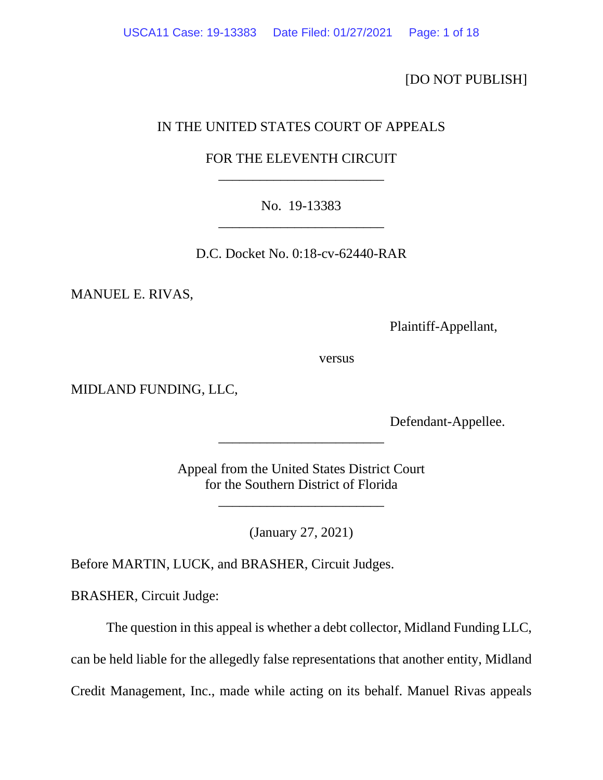[DO NOT PUBLISH]

# IN THE UNITED STATES COURT OF APPEALS

# FOR THE ELEVENTH CIRCUIT \_\_\_\_\_\_\_\_\_\_\_\_\_\_\_\_\_\_\_\_\_\_\_\_

# No. 19-13383 \_\_\_\_\_\_\_\_\_\_\_\_\_\_\_\_\_\_\_\_\_\_\_\_

D.C. Docket No. 0:18-cv-62440-RAR

MANUEL E. RIVAS,

Plaintiff-Appellant,

versus

MIDLAND FUNDING, LLC,

Defendant-Appellee.

Appeal from the United States District Court for the Southern District of Florida

\_\_\_\_\_\_\_\_\_\_\_\_\_\_\_\_\_\_\_\_\_\_\_\_

\_\_\_\_\_\_\_\_\_\_\_\_\_\_\_\_\_\_\_\_\_\_\_\_

(January 27, 2021)

Before MARTIN, LUCK, and BRASHER, Circuit Judges.

BRASHER, Circuit Judge:

The question in this appeal is whether a debt collector, Midland Funding LLC,

can be held liable for the allegedly false representations that another entity, Midland

Credit Management, Inc., made while acting on its behalf. Manuel Rivas appeals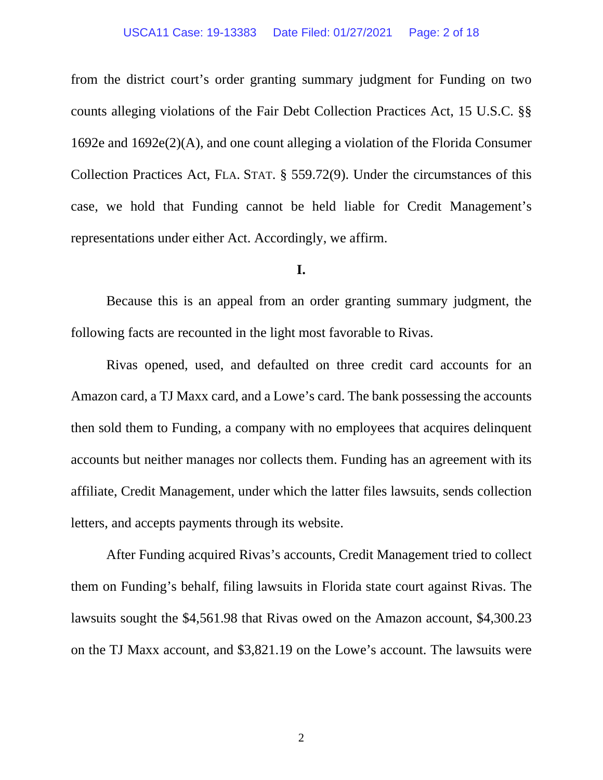#### USCA11 Case: 19-13383 Date Filed: 01/27/2021 Page: 2 of 18

from the district court's order granting summary judgment for Funding on two counts alleging violations of the Fair Debt Collection Practices Act, 15 U.S.C. §§ 1692e and 1692e(2)(A), and one count alleging a violation of the Florida Consumer Collection Practices Act, FLA. STAT. § 559.72(9). Under the circumstances of this case, we hold that Funding cannot be held liable for Credit Management's representations under either Act. Accordingly, we affirm.

## **I.**

Because this is an appeal from an order granting summary judgment, the following facts are recounted in the light most favorable to Rivas.

Rivas opened, used, and defaulted on three credit card accounts for an Amazon card, a TJ Maxx card, and a Lowe's card. The bank possessing the accounts then sold them to Funding, a company with no employees that acquires delinquent accounts but neither manages nor collects them. Funding has an agreement with its affiliate, Credit Management, under which the latter files lawsuits, sends collection letters, and accepts payments through its website.

After Funding acquired Rivas's accounts, Credit Management tried to collect them on Funding's behalf, filing lawsuits in Florida state court against Rivas. The lawsuits sought the \$4,561.98 that Rivas owed on the Amazon account, \$4,300.23 on the TJ Maxx account, and \$3,821.19 on the Lowe's account. The lawsuits were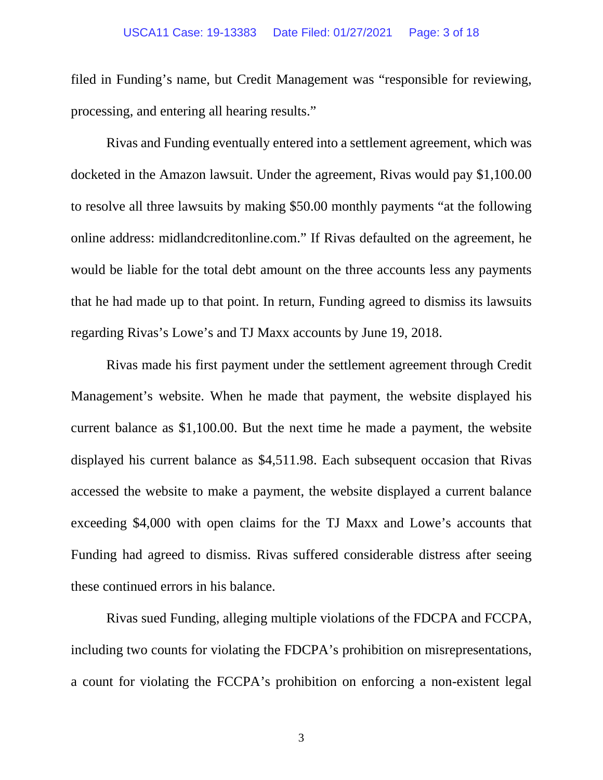### USCA11 Case: 19-13383 Date Filed: 01/27/2021 Page: 3 of 18

filed in Funding's name, but Credit Management was "responsible for reviewing, processing, and entering all hearing results."

Rivas and Funding eventually entered into a settlement agreement, which was docketed in the Amazon lawsuit. Under the agreement, Rivas would pay \$1,100.00 to resolve all three lawsuits by making \$50.00 monthly payments "at the following online address: midlandcreditonline.com." If Rivas defaulted on the agreement, he would be liable for the total debt amount on the three accounts less any payments that he had made up to that point. In return, Funding agreed to dismiss its lawsuits regarding Rivas's Lowe's and TJ Maxx accounts by June 19, 2018.

Rivas made his first payment under the settlement agreement through Credit Management's website. When he made that payment, the website displayed his current balance as \$1,100.00. But the next time he made a payment, the website displayed his current balance as \$4,511.98. Each subsequent occasion that Rivas accessed the website to make a payment, the website displayed a current balance exceeding \$4,000 with open claims for the TJ Maxx and Lowe's accounts that Funding had agreed to dismiss. Rivas suffered considerable distress after seeing these continued errors in his balance.

Rivas sued Funding, alleging multiple violations of the FDCPA and FCCPA, including two counts for violating the FDCPA's prohibition on misrepresentations, a count for violating the FCCPA's prohibition on enforcing a non-existent legal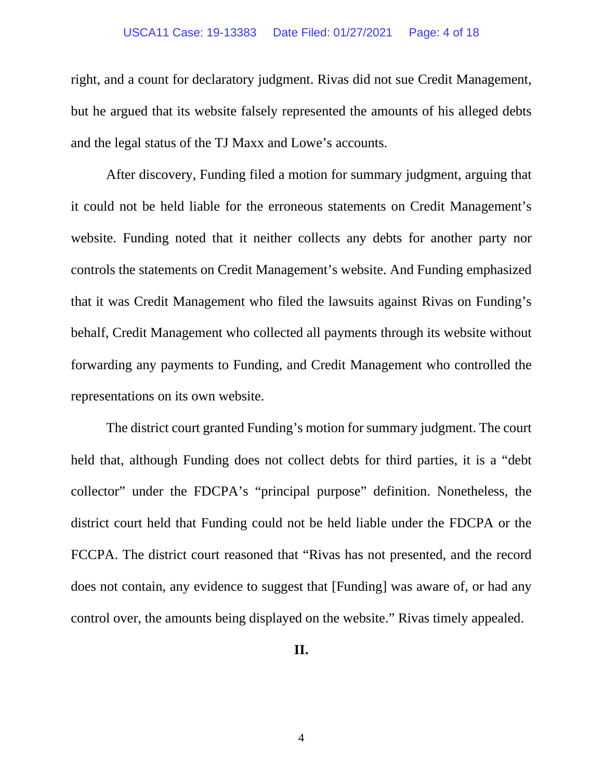### USCA11 Case: 19-13383 Date Filed: 01/27/2021 Page: 4 of 18

right, and a count for declaratory judgment. Rivas did not sue Credit Management, but he argued that its website falsely represented the amounts of his alleged debts and the legal status of the TJ Maxx and Lowe's accounts.

After discovery, Funding filed a motion for summary judgment, arguing that it could not be held liable for the erroneous statements on Credit Management's website. Funding noted that it neither collects any debts for another party nor controls the statements on Credit Management's website. And Funding emphasized that it was Credit Management who filed the lawsuits against Rivas on Funding's behalf, Credit Management who collected all payments through its website without forwarding any payments to Funding, and Credit Management who controlled the representations on its own website.

The district court granted Funding's motion for summary judgment. The court held that, although Funding does not collect debts for third parties, it is a "debt collector" under the FDCPA's "principal purpose" definition. Nonetheless, the district court held that Funding could not be held liable under the FDCPA or the FCCPA. The district court reasoned that "Rivas has not presented, and the record does not contain, any evidence to suggest that [Funding] was aware of, or had any control over, the amounts being displayed on the website." Rivas timely appealed.

**II.**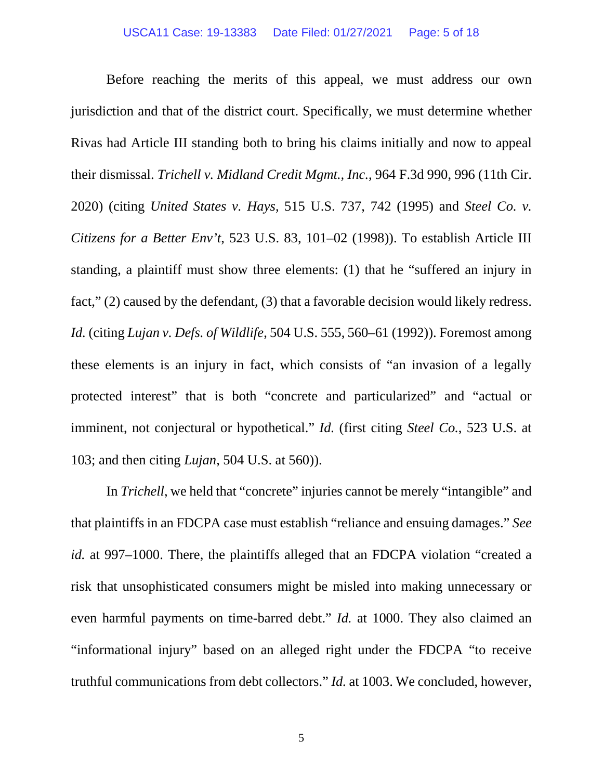Before reaching the merits of this appeal, we must address our own jurisdiction and that of the district court. Specifically, we must determine whether Rivas had Article III standing both to bring his claims initially and now to appeal their dismissal. *Trichell v. Midland Credit Mgmt., Inc.*, 964 F.3d 990, 996 (11th Cir. 2020) (citing *United States v. Hays*, 515 U.S. 737, 742 (1995) and *Steel Co. v. Citizens for a Better Env't*, 523 U.S. 83, 101–02 (1998)). To establish Article III standing, a plaintiff must show three elements: (1) that he "suffered an injury in fact," (2) caused by the defendant, (3) that a favorable decision would likely redress. *Id.* (citing *Lujan v. Defs. of Wildlife*, 504 U.S. 555, 560–61 (1992)). Foremost among these elements is an injury in fact, which consists of "an invasion of a legally protected interest" that is both "concrete and particularized" and "actual or imminent, not conjectural or hypothetical." *Id.* (first citing *Steel Co.*, 523 U.S. at 103; and then citing *Lujan*, 504 U.S. at 560)).

In *Trichell*, we held that "concrete" injuries cannot be merely "intangible" and that plaintiffs in an FDCPA case must establish "reliance and ensuing damages." *See id.* at 997–1000. There, the plaintiffs alleged that an FDCPA violation "created a risk that unsophisticated consumers might be misled into making unnecessary or even harmful payments on time-barred debt." *Id.* at 1000. They also claimed an "informational injury" based on an alleged right under the FDCPA "to receive truthful communications from debt collectors." *Id.* at 1003. We concluded, however,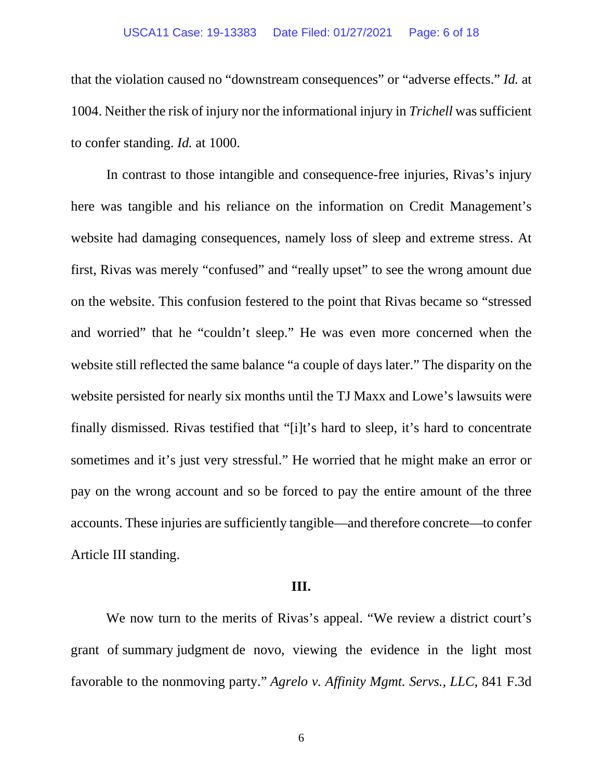### USCA11 Case: 19-13383 Date Filed: 01/27/2021 Page: 6 of 18

that the violation caused no "downstream consequences" or "adverse effects." *Id.* at 1004. Neither the risk of injury nor the informational injury in *Trichell* was sufficient to confer standing. *Id.* at 1000.

In contrast to those intangible and consequence-free injuries, Rivas's injury here was tangible and his reliance on the information on Credit Management's website had damaging consequences, namely loss of sleep and extreme stress. At first, Rivas was merely "confused" and "really upset" to see the wrong amount due on the website. This confusion festered to the point that Rivas became so "stressed and worried" that he "couldn't sleep." He was even more concerned when the website still reflected the same balance "a couple of days later." The disparity on the website persisted for nearly six months until the TJ Maxx and Lowe's lawsuits were finally dismissed. Rivas testified that "[i]t's hard to sleep, it's hard to concentrate sometimes and it's just very stressful." He worried that he might make an error or pay on the wrong account and so be forced to pay the entire amount of the three accounts. These injuries are sufficiently tangible—and therefore concrete—to confer Article III standing.

## **III.**

We now turn to the merits of Rivas's appeal. "We review a district court's grant of summary judgment de novo, viewing the evidence in the light most favorable to the nonmoving party." *Agrelo v. Affinity Mgmt. Servs., LLC*, 841 F.3d

6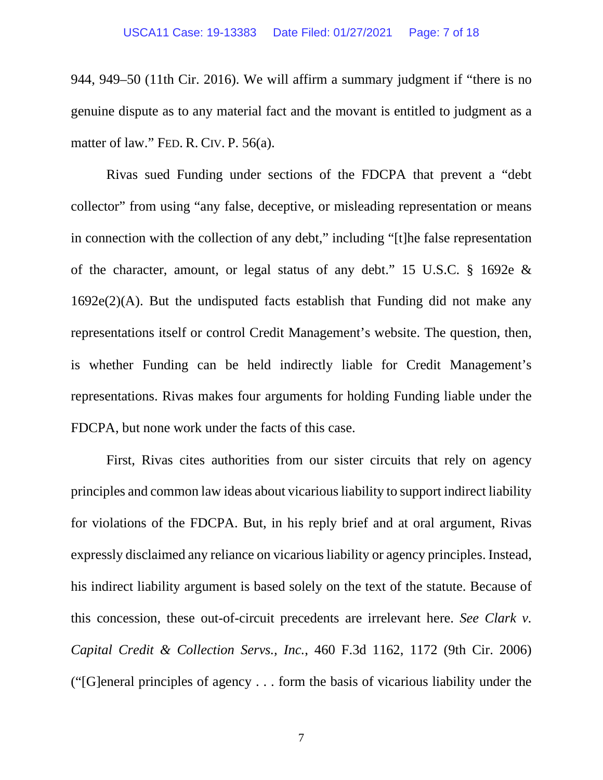944, 949–50 (11th Cir. 2016). We will affirm a summary judgment if "there is no genuine dispute as to any material fact and the movant is entitled to judgment as a matter of law." FED. R. CIV. P. 56(a).

Rivas sued Funding under sections of the FDCPA that prevent a "debt collector" from using "any false, deceptive, or misleading representation or means in connection with the collection of any debt," including "[t]he false representation of the character, amount, or legal status of any debt." 15 U.S.C. § 1692e & 1692e(2)(A). But the undisputed facts establish that Funding did not make any representations itself or control Credit Management's website. The question, then, is whether Funding can be held indirectly liable for Credit Management's representations. Rivas makes four arguments for holding Funding liable under the FDCPA, but none work under the facts of this case.

First, Rivas cites authorities from our sister circuits that rely on agency principles and common law ideas about vicarious liability to support indirect liability for violations of the FDCPA. But, in his reply brief and at oral argument, Rivas expressly disclaimed any reliance on vicarious liability or agency principles. Instead, his indirect liability argument is based solely on the text of the statute. Because of this concession, these out-of-circuit precedents are irrelevant here. *See Clark v. Capital Credit & Collection Servs., Inc.*, 460 F.3d 1162, 1172 (9th Cir. 2006) ("[G]eneral principles of agency . . . form the basis of vicarious liability under the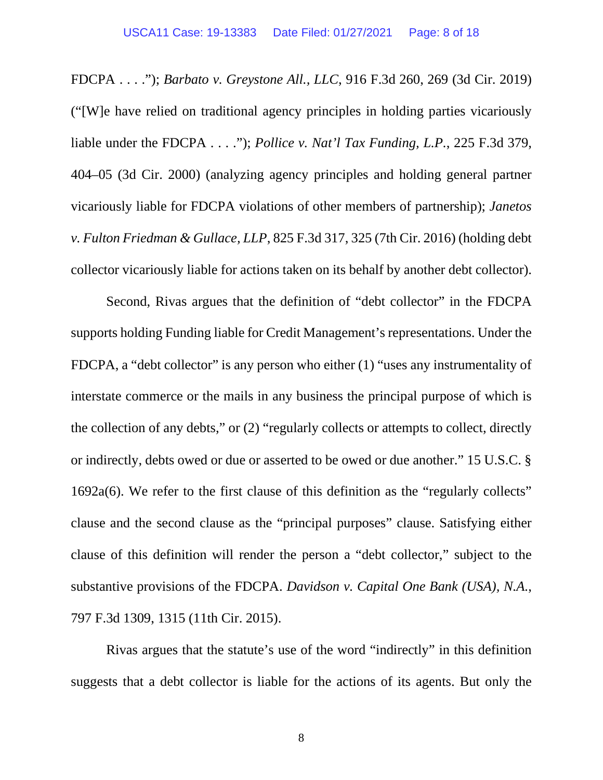FDCPA . . . ."); *Barbato v. Greystone All., LLC*, 916 F.3d 260, 269 (3d Cir. 2019) ("[W]e have relied on traditional agency principles in holding parties vicariously liable under the FDCPA . . . ."); *Pollice v. Nat'l Tax Funding, L.P.*, 225 F.3d 379, 404–05 (3d Cir. 2000) (analyzing agency principles and holding general partner vicariously liable for FDCPA violations of other members of partnership); *Janetos v. Fulton Friedman & Gullace, LLP*, 825 F.3d 317, 325 (7th Cir. 2016) (holding debt collector vicariously liable for actions taken on its behalf by another debt collector).

Second, Rivas argues that the definition of "debt collector" in the FDCPA supports holding Funding liable for Credit Management's representations. Under the FDCPA, a "debt collector" is any person who either (1) "uses any instrumentality of interstate commerce or the mails in any business the principal purpose of which is the collection of any debts," or (2) "regularly collects or attempts to collect, directly or indirectly, debts owed or due or asserted to be owed or due another." 15 U.S.C. § 1692a(6). We refer to the first clause of this definition as the "regularly collects" clause and the second clause as the "principal purposes" clause. Satisfying either clause of this definition will render the person a "debt collector," subject to the substantive provisions of the FDCPA. *Davidson v. Capital One Bank (USA), N.A.*, 797 F.3d 1309, 1315 (11th Cir. 2015).

Rivas argues that the statute's use of the word "indirectly" in this definition suggests that a debt collector is liable for the actions of its agents. But only the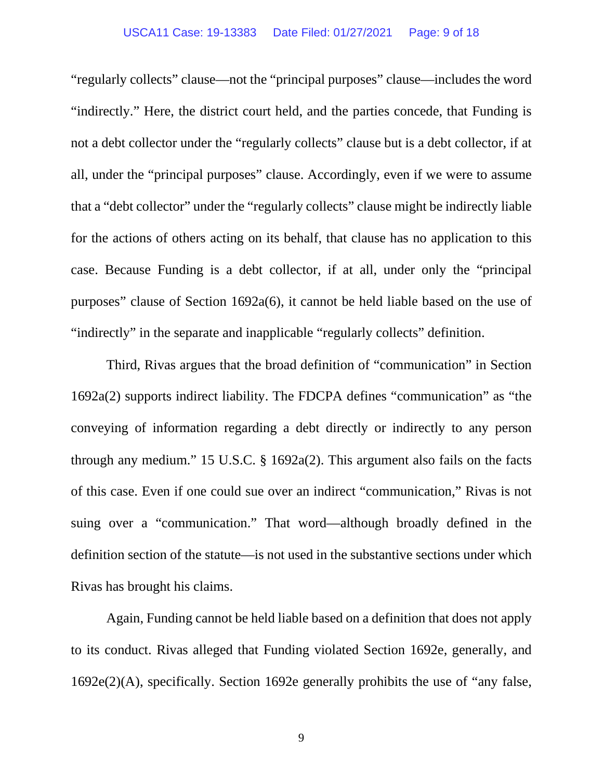## USCA11 Case: 19-13383 Date Filed: 01/27/2021 Page: 9 of 18

"regularly collects" clause—not the "principal purposes" clause—includes the word "indirectly." Here, the district court held, and the parties concede, that Funding is not a debt collector under the "regularly collects" clause but is a debt collector, if at all, under the "principal purposes" clause. Accordingly, even if we were to assume that a "debt collector" under the "regularly collects" clause might be indirectly liable for the actions of others acting on its behalf, that clause has no application to this case. Because Funding is a debt collector, if at all, under only the "principal purposes" clause of Section 1692a(6), it cannot be held liable based on the use of "indirectly" in the separate and inapplicable "regularly collects" definition.

Third, Rivas argues that the broad definition of "communication" in Section 1692a(2) supports indirect liability. The FDCPA defines "communication" as "the conveying of information regarding a debt directly or indirectly to any person through any medium." 15 U.S.C. § 1692a(2). This argument also fails on the facts of this case. Even if one could sue over an indirect "communication," Rivas is not suing over a "communication." That word—although broadly defined in the definition section of the statute—is not used in the substantive sections under which Rivas has brought his claims.

Again, Funding cannot be held liable based on a definition that does not apply to its conduct. Rivas alleged that Funding violated Section 1692e, generally, and 1692e(2)(A), specifically. Section 1692e generally prohibits the use of "any false,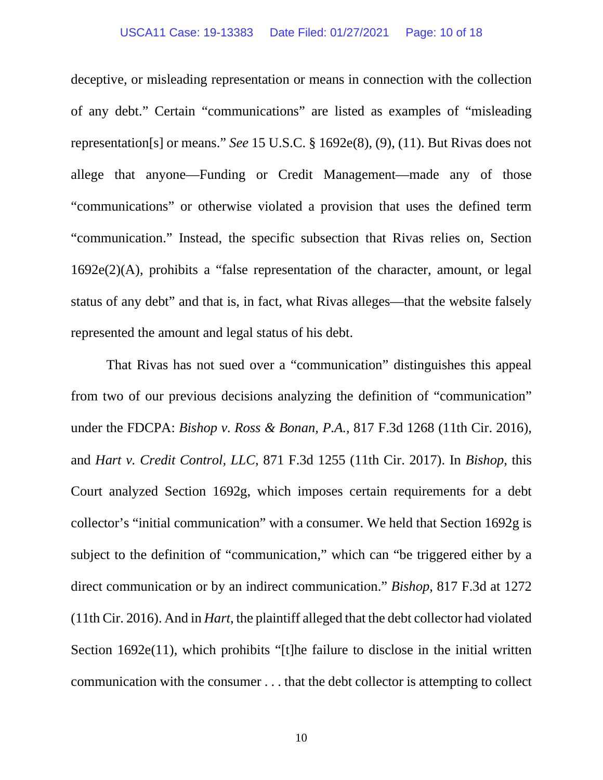### USCA11 Case: 19-13383 Date Filed: 01/27/2021 Page: 10 of 18

deceptive, or misleading representation or means in connection with the collection of any debt." Certain "communications" are listed as examples of "misleading representation[s] or means." *See* 15 U.S.C. § 1692e(8), (9), (11). But Rivas does not allege that anyone—Funding or Credit Management—made any of those "communications" or otherwise violated a provision that uses the defined term "communication." Instead, the specific subsection that Rivas relies on, Section 1692e(2)(A), prohibits a "false representation of the character, amount, or legal status of any debt" and that is, in fact, what Rivas alleges—that the website falsely represented the amount and legal status of his debt.

That Rivas has not sued over a "communication" distinguishes this appeal from two of our previous decisions analyzing the definition of "communication" under the FDCPA: *Bishop v. Ross & Bonan, P.A.*, 817 F.3d 1268 (11th Cir. 2016), and *Hart v. Credit Control, LLC*, 871 F.3d 1255 (11th Cir. 2017). In *Bishop*, this Court analyzed Section 1692g, which imposes certain requirements for a debt collector's "initial communication" with a consumer. We held that Section 1692g is subject to the definition of "communication," which can "be triggered either by a direct communication or by an indirect communication." *Bishop*, 817 F.3d at 1272 (11th Cir. 2016). And in *Hart*, the plaintiff alleged that the debt collector had violated Section 1692e(11), which prohibits "[t]he failure to disclose in the initial written communication with the consumer . . . that the debt collector is attempting to collect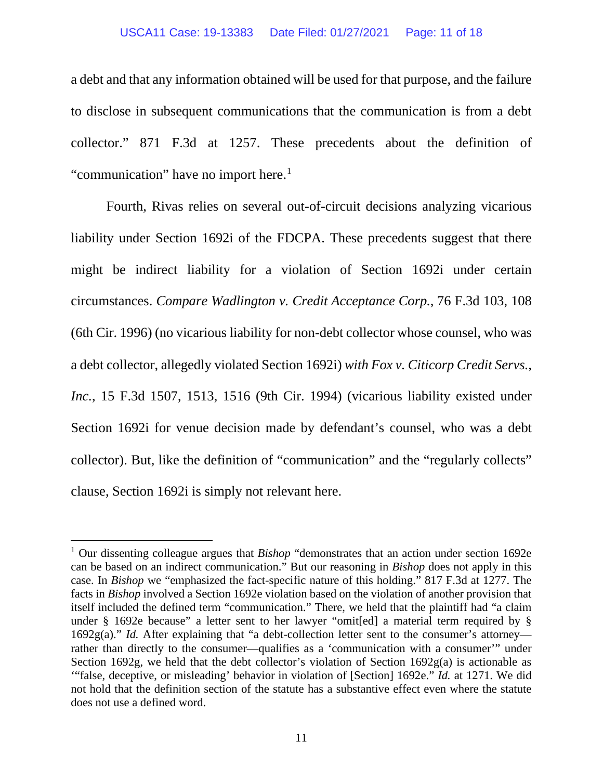## USCA11 Case: 19-13383 Date Filed: 01/27/2021 Page: 11 of 18

a debt and that any information obtained will be used for that purpose, and the failure to disclose in subsequent communications that the communication is from a debt collector." 871 F.3d at 1257. These precedents about the definition of "communication" have no import here.<sup>1</sup>

Fourth, Rivas relies on several out-of-circuit decisions analyzing vicarious liability under Section 1692i of the FDCPA. These precedents suggest that there might be indirect liability for a violation of Section 1692i under certain circumstances. *Compare Wadlington v. Credit Acceptance Corp.*, 76 F.3d 103, 108 (6th Cir. 1996) (no vicarious liability for non-debt collector whose counsel, who was a debt collector, allegedly violated Section 1692i) *with Fox v. Citicorp Credit Servs., Inc.*, 15 F.3d 1507, 1513, 1516 (9th Cir. 1994) (vicarious liability existed under Section 1692i for venue decision made by defendant's counsel, who was a debt collector). But, like the definition of "communication" and the "regularly collects" clause, Section 1692i is simply not relevant here.

<span id="page-10-0"></span><sup>1</sup> Our dissenting colleague argues that *Bishop* "demonstrates that an action under section 1692e can be based on an indirect communication." But our reasoning in *Bishop* does not apply in this case. In *Bishop* we "emphasized the fact-specific nature of this holding." 817 F.3d at 1277. The facts in *Bishop* involved a Section 1692e violation based on the violation of another provision that itself included the defined term "communication." There, we held that the plaintiff had "a claim under § 1692e because" a letter sent to her lawyer "omit[ed] a material term required by § 1692g(a)." *Id.* After explaining that "a debt-collection letter sent to the consumer's attorney rather than directly to the consumer—qualifies as a 'communication with a consumer'" under Section 1692g, we held that the debt collector's violation of Section 1692g(a) is actionable as '"false, deceptive, or misleading' behavior in violation of [Section] 1692e." *Id.* at 1271. We did not hold that the definition section of the statute has a substantive effect even where the statute does not use a defined word.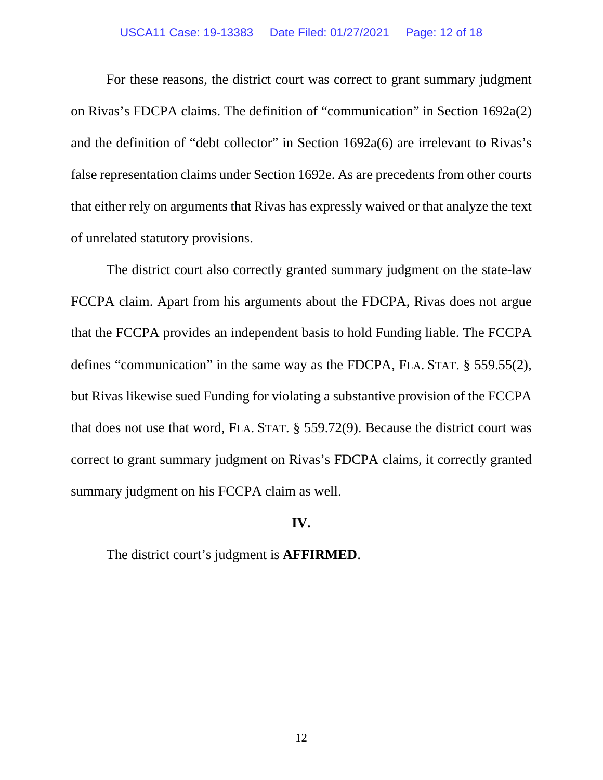### USCA11 Case: 19-13383 Date Filed: 01/27/2021 Page: 12 of 18

For these reasons, the district court was correct to grant summary judgment on Rivas's FDCPA claims. The definition of "communication" in Section 1692a(2) and the definition of "debt collector" in Section 1692a(6) are irrelevant to Rivas's false representation claims under Section 1692e. As are precedents from other courts that either rely on arguments that Rivas has expressly waived or that analyze the text of unrelated statutory provisions.

The district court also correctly granted summary judgment on the state-law FCCPA claim. Apart from his arguments about the FDCPA, Rivas does not argue that the FCCPA provides an independent basis to hold Funding liable. The FCCPA defines "communication" in the same way as the FDCPA, FLA. STAT. § 559.55(2), but Rivas likewise sued Funding for violating a substantive provision of the FCCPA that does not use that word, FLA. STAT. § 559.72(9). Because the district court was correct to grant summary judgment on Rivas's FDCPA claims, it correctly granted summary judgment on his FCCPA claim as well.

# **IV.**

The district court's judgment is **AFFIRMED**.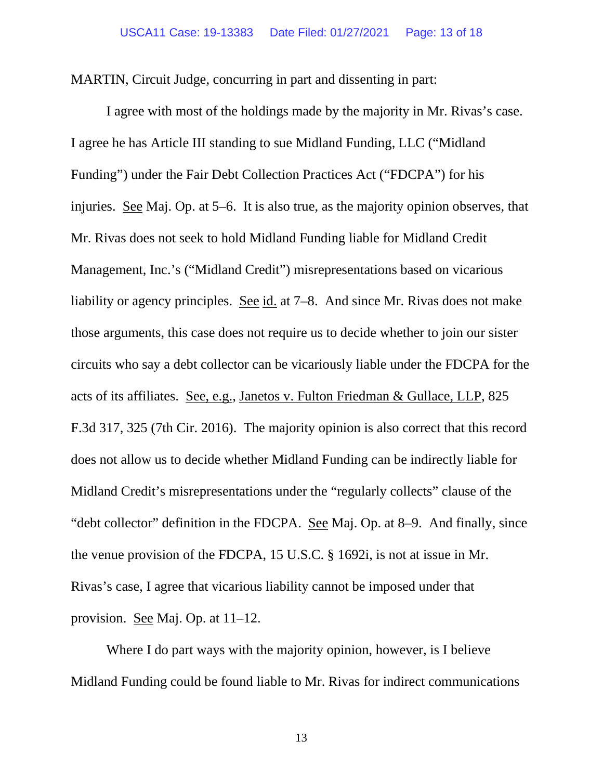MARTIN, Circuit Judge, concurring in part and dissenting in part:

I agree with most of the holdings made by the majority in Mr. Rivas's case. I agree he has Article III standing to sue Midland Funding, LLC ("Midland Funding") under the Fair Debt Collection Practices Act ("FDCPA") for his injuries. See Maj. Op. at 5–6. It is also true, as the majority opinion observes, that Mr. Rivas does not seek to hold Midland Funding liable for Midland Credit Management, Inc.'s ("Midland Credit") misrepresentations based on vicarious liability or agency principles. See id. at 7–8. And since Mr. Rivas does not make those arguments, this case does not require us to decide whether to join our sister circuits who say a debt collector can be vicariously liable under the FDCPA for the acts of its affiliates. See, e.g., Janetos v. Fulton Friedman & Gullace, LLP, 825 F.3d 317, 325 (7th Cir. 2016). The majority opinion is also correct that this record does not allow us to decide whether Midland Funding can be indirectly liable for Midland Credit's misrepresentations under the "regularly collects" clause of the "debt collector" definition in the FDCPA. See Maj. Op. at 8–9. And finally, since the venue provision of the FDCPA, 15 U.S.C. § 1692i, is not at issue in Mr. Rivas's case, I agree that vicarious liability cannot be imposed under that provision. See Maj. Op. at 11–12.

Where I do part ways with the majority opinion, however, is I believe Midland Funding could be found liable to Mr. Rivas for indirect communications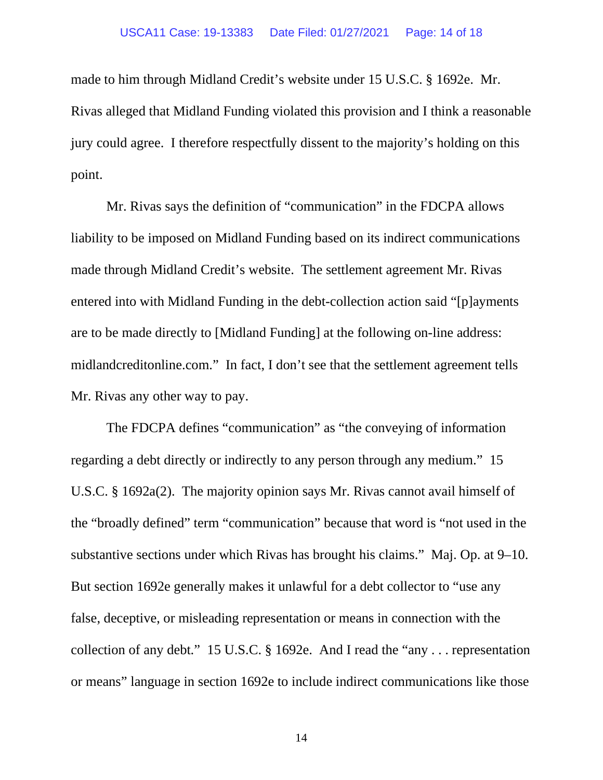#### USCA11 Case: 19-13383 Date Filed: 01/27/2021 Page: 14 of 18

made to him through Midland Credit's website under 15 U.S.C. § 1692e. Mr. Rivas alleged that Midland Funding violated this provision and I think a reasonable jury could agree. I therefore respectfully dissent to the majority's holding on this point.

Mr. Rivas says the definition of "communication" in the FDCPA allows liability to be imposed on Midland Funding based on its indirect communications made through Midland Credit's website. The settlement agreement Mr. Rivas entered into with Midland Funding in the debt-collection action said "[p]ayments are to be made directly to [Midland Funding] at the following on-line address: midlandcreditonline.com." In fact, I don't see that the settlement agreement tells Mr. Rivas any other way to pay.

The FDCPA defines "communication" as "the conveying of information regarding a debt directly or indirectly to any person through any medium." 15 U.S.C. § 1692a(2). The majority opinion says Mr. Rivas cannot avail himself of the "broadly defined" term "communication" because that word is "not used in the substantive sections under which Rivas has brought his claims." Maj. Op. at 9–10. But section 1692e generally makes it unlawful for a debt collector to "use any false, deceptive, or misleading representation or means in connection with the collection of any debt." 15 U.S.C. § 1692e. And I read the "any . . . representation or means" language in section 1692e to include indirect communications like those

14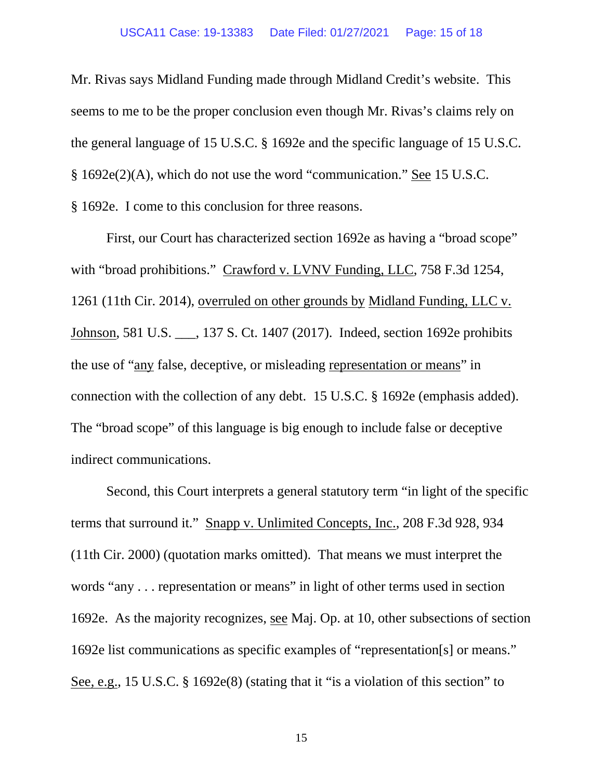#### USCA11 Case: 19-13383 Date Filed: 01/27/2021 Page: 15 of 18

Mr. Rivas says Midland Funding made through Midland Credit's website. This seems to me to be the proper conclusion even though Mr. Rivas's claims rely on the general language of 15 U.S.C. § 1692e and the specific language of 15 U.S.C. § 1692e(2)(A), which do not use the word "communication." See 15 U.S.C. § 1692e. I come to this conclusion for three reasons.

First, our Court has characterized section 1692e as having a "broad scope" with "broad prohibitions." Crawford v. LVNV Funding, LLC, 758 F.3d 1254, 1261 (11th Cir. 2014), overruled on other grounds by Midland Funding, LLC v. Johnson, 581 U.S. \_\_\_, 137 S. Ct. 1407 (2017). Indeed, section 1692e prohibits the use of "any false, deceptive, or misleading representation or means" in connection with the collection of any debt. 15 U.S.C. § 1692e (emphasis added). The "broad scope" of this language is big enough to include false or deceptive indirect communications.

Second, this Court interprets a general statutory term "in light of the specific terms that surround it." Snapp v. Unlimited Concepts, Inc., 208 F.3d 928, 934 (11th Cir. 2000) (quotation marks omitted). That means we must interpret the words "any . . . representation or means" in light of other terms used in section 1692e. As the majority recognizes, see Maj. Op. at 10, other subsections of section 1692e list communications as specific examples of "representation[s] or means." See, e.g., 15 U.S.C. § 1692e(8) (stating that it "is a violation of this section" to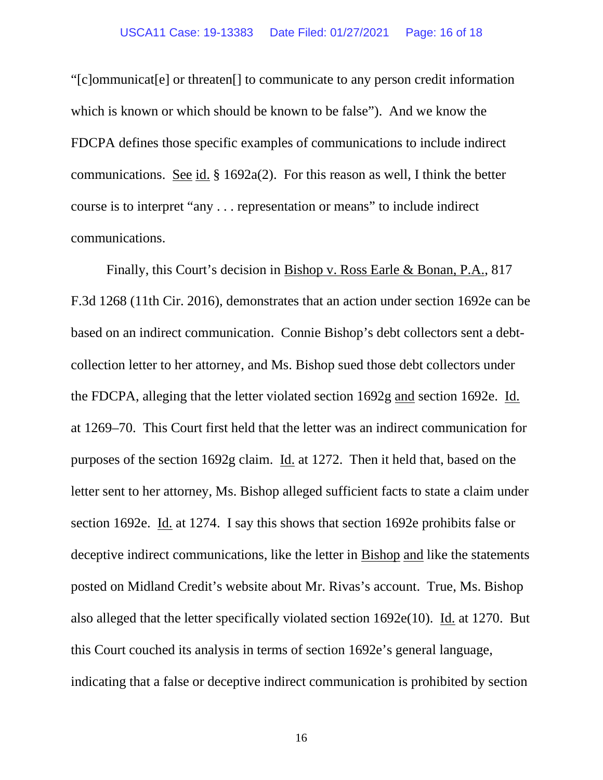"[c]ommunicat[e] or threaten[] to communicate to any person credit information which is known or which should be known to be false"). And we know the FDCPA defines those specific examples of communications to include indirect communications. See id. § 1692a(2). For this reason as well, I think the better course is to interpret "any . . . representation or means" to include indirect communications.

Finally, this Court's decision in Bishop v. Ross Earle & Bonan, P.A., 817 F.3d 1268 (11th Cir. 2016), demonstrates that an action under section 1692e can be based on an indirect communication. Connie Bishop's debt collectors sent a debtcollection letter to her attorney, and Ms. Bishop sued those debt collectors under the FDCPA, alleging that the letter violated section 1692g and section 1692e. Id. at 1269–70. This Court first held that the letter was an indirect communication for purposes of the section 1692g claim. Id. at 1272. Then it held that, based on the letter sent to her attorney, Ms. Bishop alleged sufficient facts to state a claim under section 1692e. Id. at 1274. I say this shows that section 1692e prohibits false or deceptive indirect communications, like the letter in Bishop and like the statements posted on Midland Credit's website about Mr. Rivas's account. True, Ms. Bishop also alleged that the letter specifically violated section 1692e(10). Id. at 1270. But this Court couched its analysis in terms of section 1692e's general language, indicating that a false or deceptive indirect communication is prohibited by section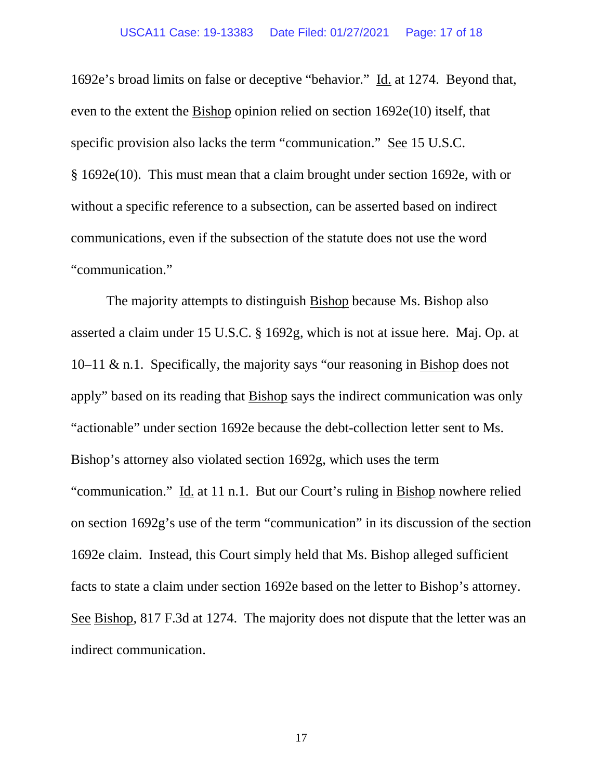#### USCA11 Case: 19-13383 Date Filed: 01/27/2021 Page: 17 of 18

1692e's broad limits on false or deceptive "behavior." Id. at 1274. Beyond that, even to the extent the Bishop opinion relied on section 1692e(10) itself, that specific provision also lacks the term "communication." See 15 U.S.C. § 1692e(10). This must mean that a claim brought under section 1692e, with or without a specific reference to a subsection, can be asserted based on indirect communications, even if the subsection of the statute does not use the word "communication."

The majority attempts to distinguish Bishop because Ms. Bishop also asserted a claim under 15 U.S.C. § 1692g, which is not at issue here. Maj. Op. at 10–11 & n.1. Specifically, the majority says "our reasoning in Bishop does not apply" based on its reading that Bishop says the indirect communication was only "actionable" under section 1692e because the debt-collection letter sent to Ms. Bishop's attorney also violated section 1692g, which uses the term "communication." Id. at 11 n.1. But our Court's ruling in Bishop nowhere relied on section 1692g's use of the term "communication" in its discussion of the section 1692e claim. Instead, this Court simply held that Ms. Bishop alleged sufficient facts to state a claim under section 1692e based on the letter to Bishop's attorney. See Bishop, 817 F.3d at 1274. The majority does not dispute that the letter was an indirect communication.